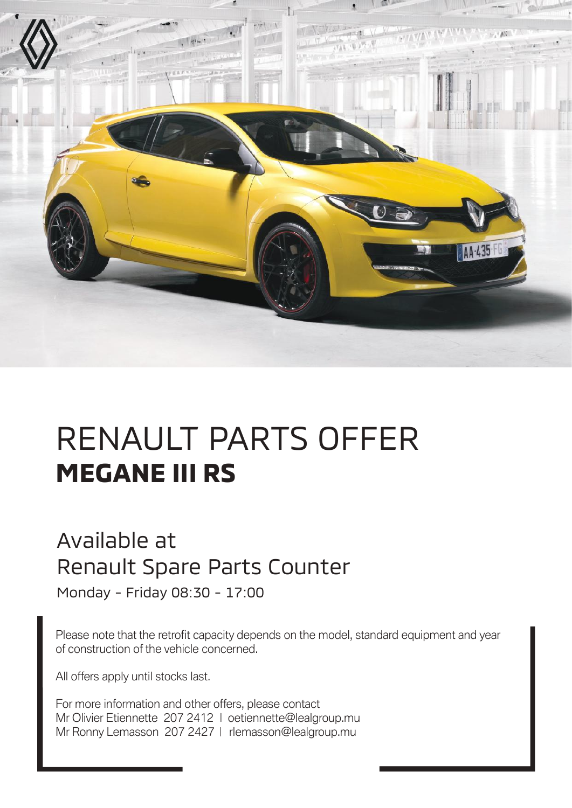

## RENAULT PARTS OFFER **MEGANE III RS**

## Available at Renault Spare Parts Counter

Monday - Friday 08:30 - 17:00

Please note that the retrofit capacity depends on the model, standard equipment and year of construction of the vehicle concerned.

All offers apply until stocks last.

For more information and other offers, please contact Mr Olivier Etiennette 207 2412 | oetiennette@lealgroup.mu Mr Ronny Lemasson 207 2427 | rlemasson@lealgroup.mu